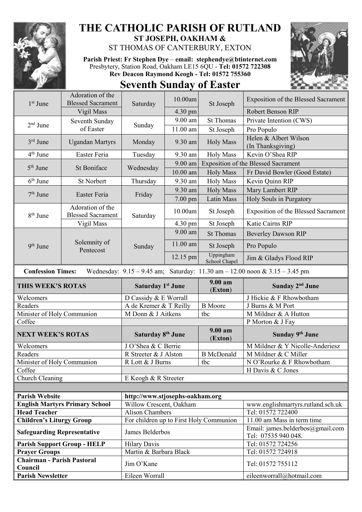

## **THE CATHOLIC PARISH OF RUTLAND ST JOSEPH, OAKHAM &**

ST THOMAS OF CANTERBURY, EXTON

**Parish Priest: Fr Stephen Dye** – **[email: stephendye@btinternet.com](mailto:email:%20%20stephendye@btinternet.com)** Presbytery, Station Road, Oakham LE15 6QU - **Tel: 01572 722308 Rev Deacon Raymond Keogh - Tel: 01572 755360**



## **Seventh Sunday of Easter**

| 1 <sup>st</sup> June                                                                                            | Adoration of the<br><b>Blessed Sacrament</b> | Saturday                                | 10.00am           | St Joseph                  | <b>Exposition of the Blessed Sacrament</b>              |  |
|-----------------------------------------------------------------------------------------------------------------|----------------------------------------------|-----------------------------------------|-------------------|----------------------------|---------------------------------------------------------|--|
|                                                                                                                 | Vigil Mass                                   |                                         | $4.30 \text{ pm}$ |                            | Robert Benson RIP                                       |  |
| $2nd$ June                                                                                                      | Seventh Sunday<br>of Easter                  | Sunday                                  | 9.00 am           | <b>St Thomas</b>           | Private Intention (CWS)                                 |  |
|                                                                                                                 |                                              |                                         | $11.00$ am        | St Joseph                  | Pro Populo                                              |  |
| $3rd$ June                                                                                                      | <b>Ugandan Martyrs</b>                       | Monday                                  | 9.30 am           | <b>Holy Mass</b>           | Helen & Albert Wilson<br>(In Thanksgiving)              |  |
| $4th$ June                                                                                                      | <b>Easter Feria</b>                          | Tuesday                                 | 9.30 am           | <b>Holy Mass</b>           | Kevin O'Shea RIP                                        |  |
| $5th$ June                                                                                                      | <b>St Boniface</b>                           | Wednesday                               | $9.00$ am         |                            | <b>Exposition of the Blessed Sacrament</b>              |  |
|                                                                                                                 |                                              |                                         | $10.00$ am        | <b>Holy Mass</b>           | Fr David Bowler (Good Estate)                           |  |
| $6th$ June                                                                                                      | <b>St Norbert</b>                            | Thursday                                | 9.30 am           | <b>Holy Mass</b>           | Kevin Quinn RIP                                         |  |
|                                                                                                                 | Easter Feria                                 | Friday                                  | 9.30 am           | <b>Holy Mass</b>           | Mary Lambert RIP                                        |  |
| $7th$ June                                                                                                      |                                              |                                         | 7.00 pm           | Latin Mass                 | Holy Souls in Purgatory                                 |  |
| 8 <sup>th</sup> June                                                                                            | Adoration of the<br><b>Blessed Sacrament</b> | Saturday                                | 10.00am           | St Joseph                  | <b>Exposition of the Blessed Sacrament</b>              |  |
|                                                                                                                 | Vigil Mass                                   |                                         | 4.30 pm           | St Joseph                  | Katie Cairns RIP                                        |  |
|                                                                                                                 | Solemnity of<br>Pentecost                    | Sunday                                  | 9.00 am           | <b>St Thomas</b>           | <b>Beverley Dawson RIP</b>                              |  |
| $9th$ June                                                                                                      |                                              |                                         | $11.00$ am        | St Joseph                  | Pro Populo                                              |  |
|                                                                                                                 |                                              |                                         | 12.15 pm          | Uppingham<br>School Chapel | Jim & Gladys Flood RIP                                  |  |
| Wednesday: $9.15 - 9.45$ am; Saturday: $11.30$ am $- 12.00$ noon & $3.15 - 3.45$ pm<br><b>Confession Times:</b> |                                              |                                         |                   |                            |                                                         |  |
| THIS WEEK'S ROTAS                                                                                               |                                              | <b>Saturday 1st June</b>                |                   | 9.00 am<br>(Exton)         | Sunday 2 <sup>nd</sup> June                             |  |
| Welcomers                                                                                                       |                                              | D Cassidy & E Worrall                   |                   |                            | J Hickie & F Rhowbotham                                 |  |
| Readers                                                                                                         |                                              | A de Kremer & T Reilly                  |                   | <b>B</b> Moore             | J Burns & M Port                                        |  |
| Minister of Holy Communion                                                                                      |                                              | M Donn & J Aitkens                      |                   | tbc                        | M Mildner & A Hutton                                    |  |
| Coffee                                                                                                          |                                              |                                         |                   |                            | P Morton & J Fay                                        |  |
| <b>NEXT WEEK'S ROTAS</b>                                                                                        |                                              | Saturday 8 <sup>th</sup> June           |                   | 9.00 am<br>(Exton)         | Sunday 9th June                                         |  |
| Welcomers                                                                                                       |                                              | J O'Shea & C Berrie                     |                   |                            | M Mildner & Y Nicolle-Anderiesz                         |  |
| Readers                                                                                                         |                                              | R Streeter & J Alston                   |                   | <b>B</b> McDonald          | M Mildner & C Miller                                    |  |
| Minister of Holy Communion                                                                                      |                                              | R Lott & J Burns                        |                   | tbc                        | N O'Rourke & F Rhowbotham                               |  |
| Coffee                                                                                                          |                                              |                                         |                   |                            | H Davis & C Jones                                       |  |
| Church Cleaning                                                                                                 |                                              | E Keogh & R Streeter                    |                   |                            |                                                         |  |
|                                                                                                                 |                                              |                                         |                   |                            |                                                         |  |
| <b>Parish Website</b>                                                                                           |                                              |                                         |                   |                            |                                                         |  |
| <b>English Martyrs Primary School</b>                                                                           |                                              | http://www.stjosephs-oakham.org         |                   |                            |                                                         |  |
|                                                                                                                 |                                              | Willow Crescent, Oakham                 |                   |                            | www.englishmartyrs.rutland.sch.uk                       |  |
| <b>Head Teacher</b>                                                                                             |                                              | <b>Alison Chambers</b>                  |                   |                            | Tel: 01572 722400                                       |  |
| <b>Children's Liturgy Group</b>                                                                                 |                                              | For children up to First Holy Communion |                   |                            | 11.00 am Mass in term time                              |  |
| <b>Safeguarding Representative</b>                                                                              |                                              | James Belderbos                         |                   |                            | Email: james.belderbos@gmail.com<br>Tel: 07535 940 048. |  |
|                                                                                                                 | <b>Parish Support Group - HELP</b>           | <b>Hilary Davis</b>                     |                   |                            | Tel: 01572 724256                                       |  |
| <b>Prayer Groups</b>                                                                                            |                                              | Martin & Barbara Black                  |                   |                            | Tel: 01572 724918                                       |  |
| <b>Chairman - Parish Pastoral</b><br>Council                                                                    |                                              | Jim O'Kane                              |                   |                            | Tel: 01572 755112                                       |  |